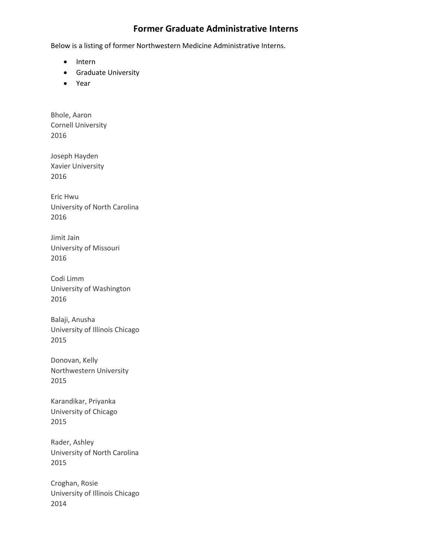## **Former Graduate Administrative Interns**

Below is a listing of former Northwestern Medicine Administrative Interns.

- Intern
- **•** Graduate University
- Year

Bhole, Aaron Cornell University 2016

Joseph Hayden Xavier University 2016

Eric Hwu University of North Carolina 2016

Jimit Jain University of Missouri 2016

Codi Limm University of Washington 2016

Balaji, Anusha University of Illinois Chicago 2015

Donovan, Kelly Northwestern University 2015

Karandikar, Priyanka University of Chicago 2015

Rader, Ashley University of North Carolina 2015

Croghan, Rosie University of Illinois Chicago 2014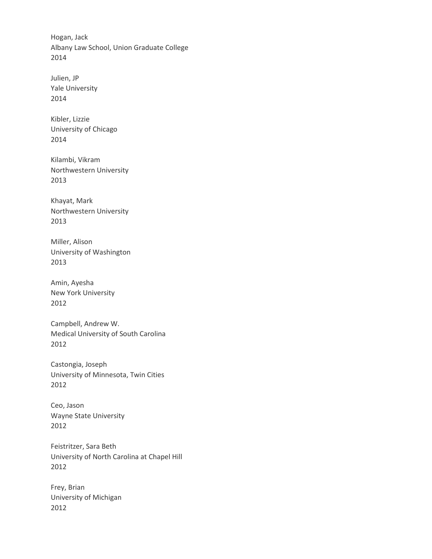Hogan, Jack Albany Law School, Union Graduate College 2014

Julien, JP Yale University 2014

Kibler, Lizzie University of Chicago 2014

Kilambi, Vikram Northwestern University 2013

Khayat, Mark Northwestern University 2013

Miller, Alison University of Washington 2013

Amin, Ayesha New York University 2012

Campbell, Andrew W. Medical University of South Carolina 2012

Castongia, Joseph University of Minnesota, Twin Cities 2012

Ceo, Jason Wayne State University 2012

Feistritzer, Sara Beth University of North Carolina at Chapel Hill 2012

Frey, Brian University of Michigan 2012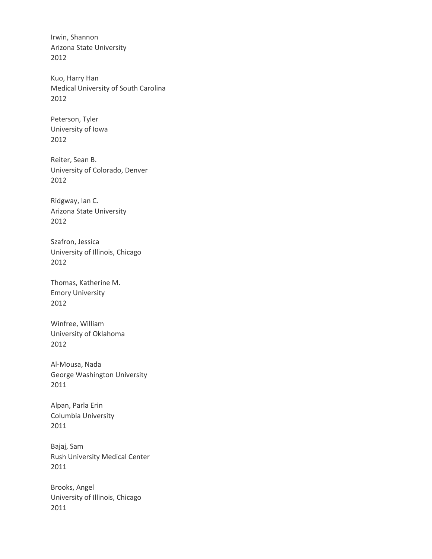Irwin, Shannon Arizona State University 2012

Kuo, Harry Han Medical University of South Carolina 2012

Peterson, Tyler University of Iowa 2012

Reiter, Sean B. University of Colorado, Denver 2012

Ridgway, Ian C. Arizona State University 2012

Szafron, Jessica University of Illinois, Chicago 2012

Thomas, Katherine M. Emory University 2012

Winfree, William University of Oklahoma 2012

Al-Mousa, Nada George Washington University 2011

Alpan, Parla Erin Columbia University 2011

Bajaj, Sam Rush University Medical Center 2011

Brooks, Angel University of Illinois, Chicago 2011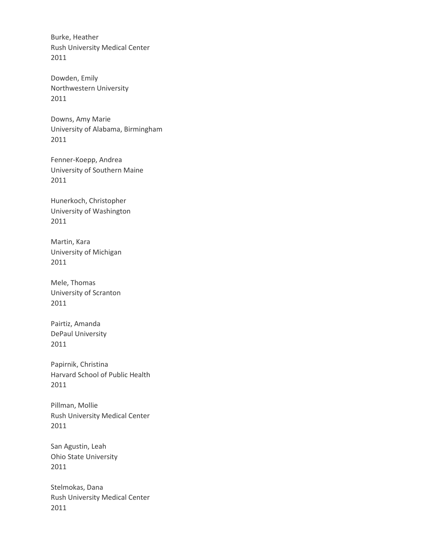Burke, Heather Rush University Medical Center 2011

Dowden, Emily Northwestern University 2011

Downs, Amy Marie University of Alabama, Birmingham 2011

Fenner-Koepp, Andrea University of Southern Maine 2011

Hunerkoch, Christopher University of Washington 2011

Martin, Kara University of Michigan 2011

Mele, Thomas University of Scranton 2011

Pairtiz, Amanda DePaul University 2011

Papirnik, Christina Harvard School of Public Health 2011

Pillman, Mollie Rush University Medical Center 2011

San Agustin, Leah Ohio State University 2011

Stelmokas, Dana Rush University Medical Center 2011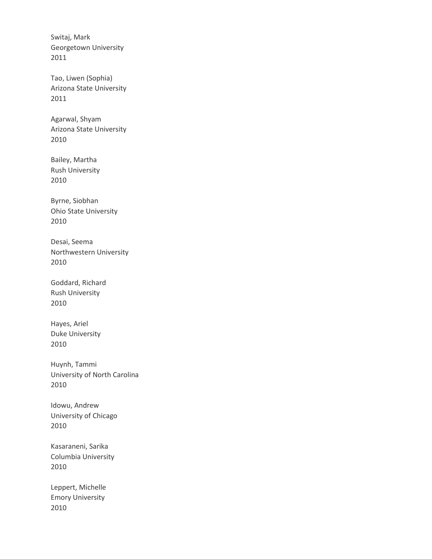Switaj, Mark Georgetown University 2011

Tao, Liwen (Sophia) Arizona State University 2011

Agarwal, Shyam Arizona State University 2010

Bailey, Martha Rush University 2010

Byrne, Siobhan Ohio State University 2010

Desai, Seema Northwestern University 2010

Goddard, Richard Rush University 2010

Hayes, Ariel Duke University 2010

Huynh, Tammi University of North Carolina 2010

Idowu, Andrew University of Chicago 2010

Kasaraneni, Sarika Columbia University 2010

Leppert, Michelle Emory University 2010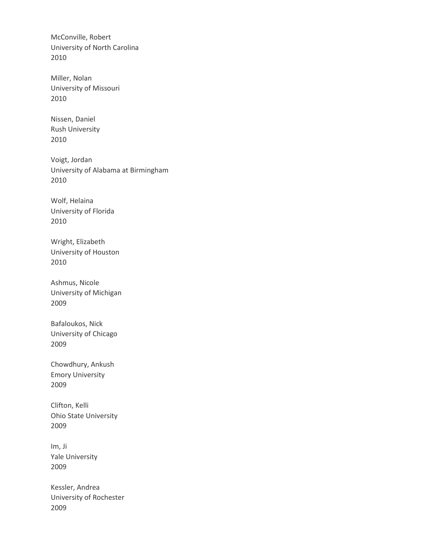McConville, Robert University of North Carolina 2010

Miller, Nolan University of Missouri 2010

Nissen, Daniel Rush University 2010

Voigt, Jordan University of Alabama at Birmingham 2010

Wolf, Helaina University of Florida 2010

Wright, Elizabeth University of Houston 2010

Ashmus, Nicole University of Michigan 2009

Bafaloukos, Nick University of Chicago 2009

Chowdhury, Ankush Emory University 2009

Clifton, Kelli Ohio State University 2009

Im, Ji Yale University 2009

Kessler, Andrea University of Rochester 2009